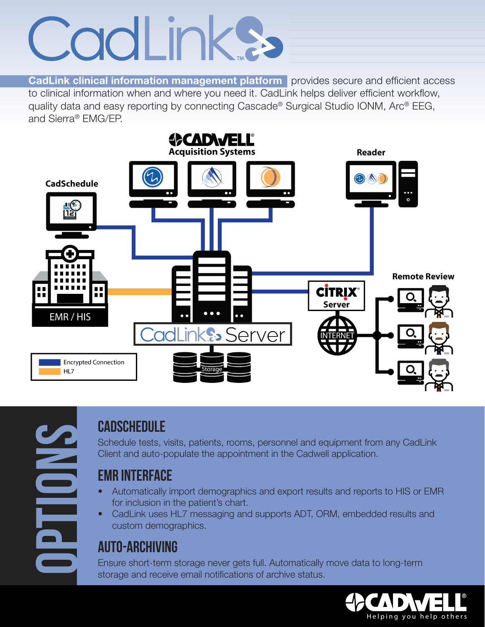# CodLinks

CadLink clinical information management platform provides secure and efficient access to clinical information when and where you need it. CadLink helps deliver efficient workflow, quality data and easy reporting by connecting Cascade® Surgical Studio IONM, Arc® EEG, and Sierra® EMG/EP.



**Options**

#### **CadSchedule**

Schedule tests, visits, patients, rooms, personnel and equipment from any CadLink Client and auto-populate the appointment in the Cadwell application.

#### **EMR Interface**

- Automatically import demographics and export results and reports to HIS or EMR for inclusion in the patient's chart.
- CadLink uses HL7 messaging and supports ADT, ORM, embedded results and custom demographics.

#### **Auto-Archiving**

Ensure short-term storage never gets full. Automatically move data to long-term storage and receive email notifications of archive status.